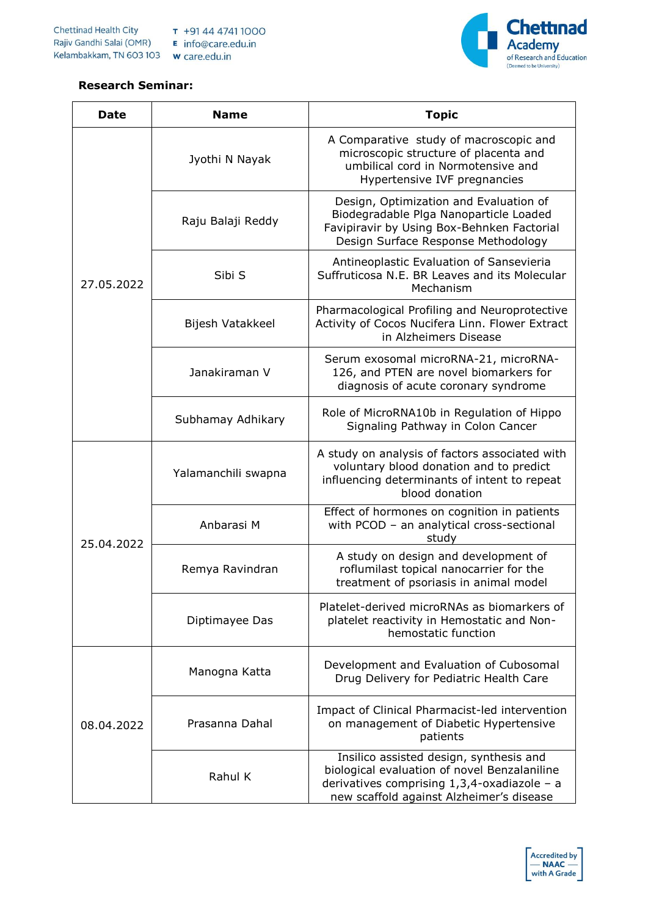

## **Research Seminar:**

| Date       | <b>Name</b>         | <b>Topic</b>                                                                                                                                                                          |
|------------|---------------------|---------------------------------------------------------------------------------------------------------------------------------------------------------------------------------------|
|            | Jyothi N Nayak      | A Comparative study of macroscopic and<br>microscopic structure of placenta and<br>umbilical cord in Normotensive and<br>Hypertensive IVF pregnancies                                 |
|            | Raju Balaji Reddy   | Design, Optimization and Evaluation of<br>Biodegradable Plga Nanoparticle Loaded<br>Favipiravir by Using Box-Behnken Factorial<br>Design Surface Response Methodology                 |
| 27.05.2022 | Sibi S              | Antineoplastic Evaluation of Sansevieria<br>Suffruticosa N.E. BR Leaves and its Molecular<br>Mechanism                                                                                |
|            | Bijesh Vatakkeel    | Pharmacological Profiling and Neuroprotective<br>Activity of Cocos Nucifera Linn. Flower Extract<br>in Alzheimers Disease                                                             |
|            | Janakiraman V       | Serum exosomal microRNA-21, microRNA-<br>126, and PTEN are novel biomarkers for<br>diagnosis of acute coronary syndrome                                                               |
|            | Subhamay Adhikary   | Role of MicroRNA10b in Regulation of Hippo<br>Signaling Pathway in Colon Cancer                                                                                                       |
|            | Yalamanchili swapna | A study on analysis of factors associated with<br>voluntary blood donation and to predict<br>influencing determinants of intent to repeat<br>blood donation                           |
| 25.04.2022 | Anbarasi M          | Effect of hormones on cognition in patients<br>with PCOD - an analytical cross-sectional<br>study                                                                                     |
|            | Remya Ravindran     | A study on design and development of<br>roflumilast topical nanocarrier for the<br>treatment of psoriasis in animal model                                                             |
|            | Diptimayee Das      | Platelet-derived microRNAs as biomarkers of<br>platelet reactivity in Hemostatic and Non-<br>hemostatic function                                                                      |
| 08.04.2022 | Manogna Katta       | Development and Evaluation of Cubosomal<br>Drug Delivery for Pediatric Health Care                                                                                                    |
|            | Prasanna Dahal      | Impact of Clinical Pharmacist-led intervention<br>on management of Diabetic Hypertensive<br>patients                                                                                  |
|            | Rahul K             | Insilico assisted design, synthesis and<br>biological evaluation of novel Benzalaniline<br>derivatives comprising $1,3,4$ -oxadiazole – a<br>new scaffold against Alzheimer's disease |

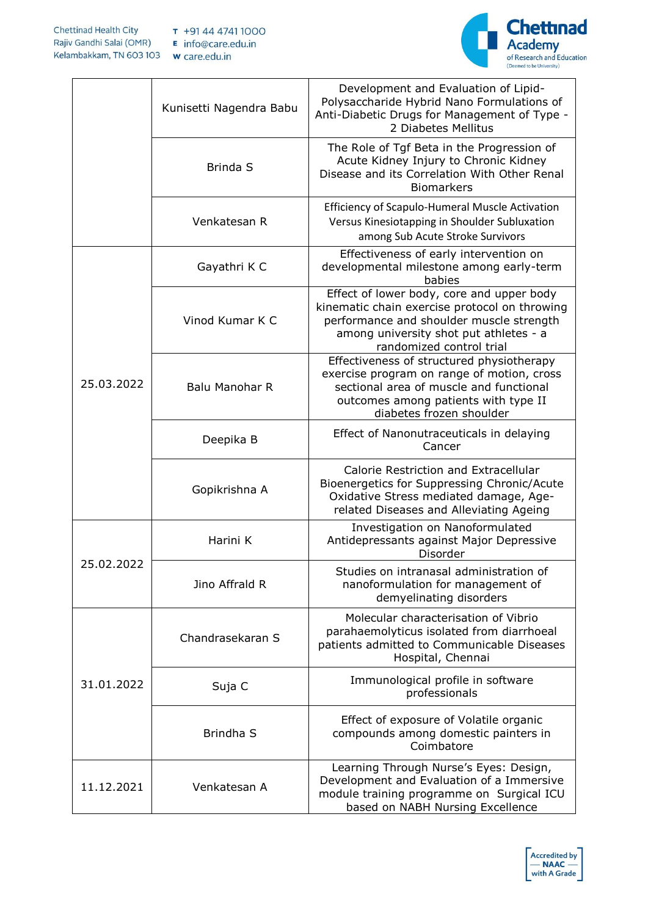

|            | Kunisetti Nagendra Babu | Development and Evaluation of Lipid-<br>Polysaccharide Hybrid Nano Formulations of<br>Anti-Diabetic Drugs for Management of Type -<br>2 Diabetes Mellitus                                                    |
|------------|-------------------------|--------------------------------------------------------------------------------------------------------------------------------------------------------------------------------------------------------------|
|            | <b>Brinda S</b>         | The Role of Tgf Beta in the Progression of<br>Acute Kidney Injury to Chronic Kidney<br>Disease and its Correlation With Other Renal<br><b>Biomarkers</b>                                                     |
|            | Venkatesan R            | Efficiency of Scapulo-Humeral Muscle Activation<br>Versus Kinesiotapping in Shoulder Subluxation<br>among Sub Acute Stroke Survivors                                                                         |
|            | Gayathri K C            | Effectiveness of early intervention on<br>developmental milestone among early-term<br>babies                                                                                                                 |
|            | Vinod Kumar K C         | Effect of lower body, core and upper body<br>kinematic chain exercise protocol on throwing<br>performance and shoulder muscle strength<br>among university shot put athletes - a<br>randomized control trial |
| 25.03.2022 | <b>Balu Manohar R</b>   | Effectiveness of structured physiotherapy<br>exercise program on range of motion, cross<br>sectional area of muscle and functional<br>outcomes among patients with type II<br>diabetes frozen shoulder       |
|            | Deepika B               | Effect of Nanonutraceuticals in delaying<br>Cancer                                                                                                                                                           |
|            | Gopikrishna A           | Calorie Restriction and Extracellular<br>Bioenergetics for Suppressing Chronic/Acute<br>Oxidative Stress mediated damage, Age-<br>related Diseases and Alleviating Ageing                                    |
|            | Harini K                | Investigation on Nanoformulated<br>Antidepressants against Major Depressive<br>Disorder                                                                                                                      |
| 25.02.2022 | Jino Affrald R          | Studies on intranasal administration of<br>nanoformulation for management of<br>demyelinating disorders                                                                                                      |
|            | Chandrasekaran S        | Molecular characterisation of Vibrio<br>parahaemolyticus isolated from diarrhoeal<br>patients admitted to Communicable Diseases<br>Hospital, Chennai                                                         |
| 31.01.2022 | Suja C                  | Immunological profile in software<br>professionals                                                                                                                                                           |
|            | Brindha S               | Effect of exposure of Volatile organic<br>compounds among domestic painters in<br>Coimbatore                                                                                                                 |
| 11.12.2021 | Venkatesan A            | Learning Through Nurse's Eyes: Design,<br>Development and Evaluation of a Immersive<br>module training programme on Surgical ICU<br>based on NABH Nursing Excellence                                         |

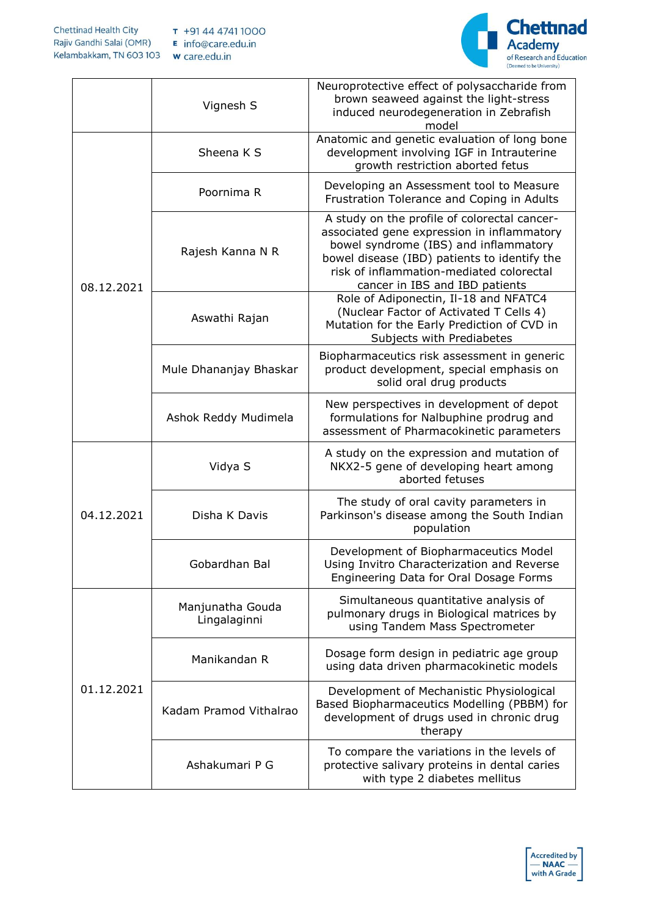

|            | Vignesh S                        | Neuroprotective effect of polysaccharide from<br>brown seaweed against the light-stress<br>induced neurodegeneration in Zebrafish<br>model                                                                                                                        |
|------------|----------------------------------|-------------------------------------------------------------------------------------------------------------------------------------------------------------------------------------------------------------------------------------------------------------------|
|            | Sheena K S                       | Anatomic and genetic evaluation of long bone<br>development involving IGF in Intrauterine<br>growth restriction aborted fetus                                                                                                                                     |
|            | Poornima R                       | Developing an Assessment tool to Measure<br>Frustration Tolerance and Coping in Adults                                                                                                                                                                            |
| 08.12.2021 | Rajesh Kanna N R                 | A study on the profile of colorectal cancer-<br>associated gene expression in inflammatory<br>bowel syndrome (IBS) and inflammatory<br>bowel disease (IBD) patients to identify the<br>risk of inflammation-mediated colorectal<br>cancer in IBS and IBD patients |
|            | Aswathi Rajan                    | Role of Adiponectin, Il-18 and NFATC4<br>(Nuclear Factor of Activated T Cells 4)<br>Mutation for the Early Prediction of CVD in<br>Subjects with Prediabetes                                                                                                      |
|            | Mule Dhananjay Bhaskar           | Biopharmaceutics risk assessment in generic<br>product development, special emphasis on<br>solid oral drug products                                                                                                                                               |
|            | Ashok Reddy Mudimela             | New perspectives in development of depot<br>formulations for Nalbuphine prodrug and<br>assessment of Pharmacokinetic parameters                                                                                                                                   |
| 04.12.2021 | Vidya S                          | A study on the expression and mutation of<br>NKX2-5 gene of developing heart among<br>aborted fetuses                                                                                                                                                             |
|            | Disha K Davis                    | The study of oral cavity parameters in<br>Parkinson's disease among the South Indian<br>population                                                                                                                                                                |
|            | Gobardhan Bal                    | Development of Biopharmaceutics Model<br>Using Invitro Characterization and Reverse<br>Engineering Data for Oral Dosage Forms                                                                                                                                     |
| 01.12.2021 | Manjunatha Gouda<br>Lingalaginni | Simultaneous quantitative analysis of<br>pulmonary drugs in Biological matrices by<br>using Tandem Mass Spectrometer                                                                                                                                              |
|            | Manikandan R                     | Dosage form design in pediatric age group<br>using data driven pharmacokinetic models                                                                                                                                                                             |
|            | Kadam Pramod Vithalrao           | Development of Mechanistic Physiological<br>Based Biopharmaceutics Modelling (PBBM) for<br>development of drugs used in chronic drug<br>therapy                                                                                                                   |
|            | Ashakumari P G                   | To compare the variations in the levels of<br>protective salivary proteins in dental caries<br>with type 2 diabetes mellitus                                                                                                                                      |

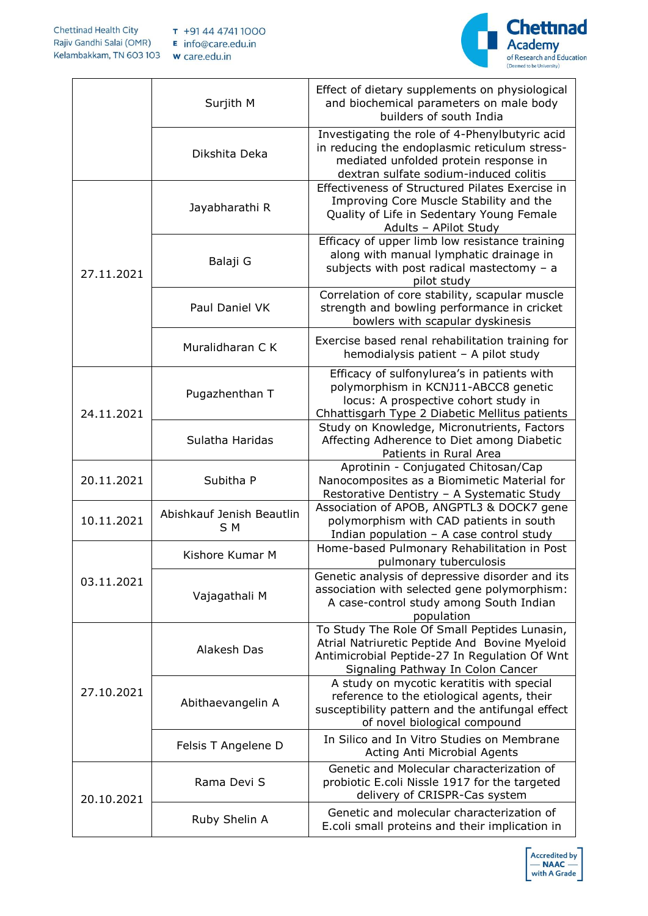

|            | Surjith M                        | Effect of dietary supplements on physiological<br>and biochemical parameters on male body<br>builders of south India                                                                |
|------------|----------------------------------|-------------------------------------------------------------------------------------------------------------------------------------------------------------------------------------|
|            | Dikshita Deka                    | Investigating the role of 4-Phenylbutyric acid<br>in reducing the endoplasmic reticulum stress-<br>mediated unfolded protein response in<br>dextran sulfate sodium-induced colitis  |
|            | Jayabharathi R                   | Effectiveness of Structured Pilates Exercise in<br>Improving Core Muscle Stability and the<br>Quality of Life in Sedentary Young Female<br>Adults - APilot Study                    |
| 27.11.2021 | Balaji G                         | Efficacy of upper limb low resistance training<br>along with manual lymphatic drainage in<br>subjects with post radical mastectomy - a<br>pilot study                               |
|            | Paul Daniel VK                   | Correlation of core stability, scapular muscle<br>strength and bowling performance in cricket<br>bowlers with scapular dyskinesis                                                   |
|            | Muralidharan C K                 | Exercise based renal rehabilitation training for<br>hemodialysis patient - A pilot study                                                                                            |
| 24.11.2021 | Pugazhenthan T                   | Efficacy of sulfonylurea's in patients with<br>polymorphism in KCNJ11-ABCC8 genetic<br>locus: A prospective cohort study in<br>Chhattisgarh Type 2 Diabetic Mellitus patients       |
|            | Sulatha Haridas                  | Study on Knowledge, Micronutrients, Factors<br>Affecting Adherence to Diet among Diabetic<br>Patients in Rural Area                                                                 |
| 20.11.2021 | Subitha P                        | Aprotinin - Conjugated Chitosan/Cap<br>Nanocomposites as a Biomimetic Material for<br>Restorative Dentistry - A Systematic Study                                                    |
| 10.11.2021 | Abishkauf Jenish Beautlin<br>S M | Association of APOB, ANGPTL3 & DOCK7 gene<br>polymorphism with CAD patients in south<br>Indian population - A case control study                                                    |
|            | Kishore Kumar M                  | Home-based Pulmonary Rehabilitation in Post<br>pulmonary tuberculosis                                                                                                               |
| 03.11.2021 | Vajagathali M                    | Genetic analysis of depressive disorder and its<br>association with selected gene polymorphism:<br>A case-control study among South Indian<br>population                            |
|            | Alakesh Das                      | To Study The Role Of Small Peptides Lunasin,<br>Atrial Natriuretic Peptide And Bovine Myeloid<br>Antimicrobial Peptide-27 In Regulation Of Wnt<br>Signaling Pathway In Colon Cancer |
| 27.10.2021 | Abithaevangelin A                | A study on mycotic keratitis with special<br>reference to the etiological agents, their<br>susceptibility pattern and the antifungal effect<br>of novel biological compound         |
|            | Felsis T Angelene D              | In Silico and In Vitro Studies on Membrane<br>Acting Anti Microbial Agents                                                                                                          |
| 20.10.2021 | Rama Devi S                      | Genetic and Molecular characterization of<br>probiotic E.coli Nissle 1917 for the targeted<br>delivery of CRISPR-Cas system                                                         |
|            | Ruby Shelin A                    | Genetic and molecular characterization of<br>E.coli small proteins and their implication in                                                                                         |

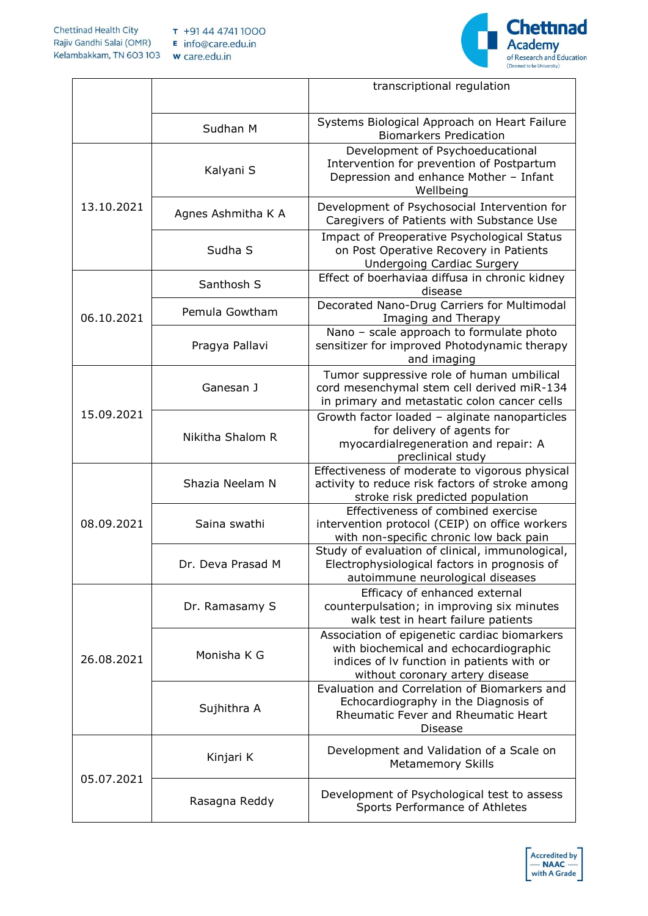

|            |                    | transcriptional regulation                                                                                                                                              |
|------------|--------------------|-------------------------------------------------------------------------------------------------------------------------------------------------------------------------|
|            | Sudhan M           | Systems Biological Approach on Heart Failure<br><b>Biomarkers Predication</b>                                                                                           |
|            | Kalyani S          | Development of Psychoeducational<br>Intervention for prevention of Postpartum<br>Depression and enhance Mother - Infant<br>Wellbeing                                    |
| 13.10.2021 | Agnes Ashmitha K A | Development of Psychosocial Intervention for<br>Caregivers of Patients with Substance Use                                                                               |
|            | Sudha S            | Impact of Preoperative Psychological Status<br>on Post Operative Recovery in Patients<br><b>Undergoing Cardiac Surgery</b>                                              |
|            | Santhosh S         | Effect of boerhaviaa diffusa in chronic kidney<br>disease                                                                                                               |
| 06.10.2021 | Pemula Gowtham     | Decorated Nano-Drug Carriers for Multimodal<br>Imaging and Therapy                                                                                                      |
|            | Pragya Pallavi     | Nano - scale approach to formulate photo<br>sensitizer for improved Photodynamic therapy<br>and imaging                                                                 |
|            | Ganesan J          | Tumor suppressive role of human umbilical<br>cord mesenchymal stem cell derived miR-134<br>in primary and metastatic colon cancer cells                                 |
| 15.09.2021 | Nikitha Shalom R   | Growth factor loaded - alginate nanoparticles<br>for delivery of agents for<br>myocardialregeneration and repair: A<br>preclinical study                                |
|            | Shazia Neelam N    | Effectiveness of moderate to vigorous physical<br>activity to reduce risk factors of stroke among<br>stroke risk predicted population                                   |
| 08.09.2021 | Saina swathi       | Effectiveness of combined exercise<br>intervention protocol (CEIP) on office workers<br>with non-specific chronic low back pain                                         |
|            | Dr. Deva Prasad M  | Study of evaluation of clinical, immunological,<br>Electrophysiological factors in prognosis of<br>autoimmune neurological diseases                                     |
|            | Dr. Ramasamy S     | Efficacy of enhanced external<br>counterpulsation; in improving six minutes<br>walk test in heart failure patients                                                      |
| 26.08.2021 | Monisha K G        | Association of epigenetic cardiac biomarkers<br>with biochemical and echocardiographic<br>indices of Iv function in patients with or<br>without coronary artery disease |
|            | Sujhithra A        | Evaluation and Correlation of Biomarkers and<br>Echocardiography in the Diagnosis of<br>Rheumatic Fever and Rheumatic Heart<br>Disease                                  |
|            | Kinjari K          | Development and Validation of a Scale on<br><b>Metamemory Skills</b>                                                                                                    |
| 05.07.2021 | Rasagna Reddy      | Development of Psychological test to assess<br>Sports Performance of Athletes                                                                                           |

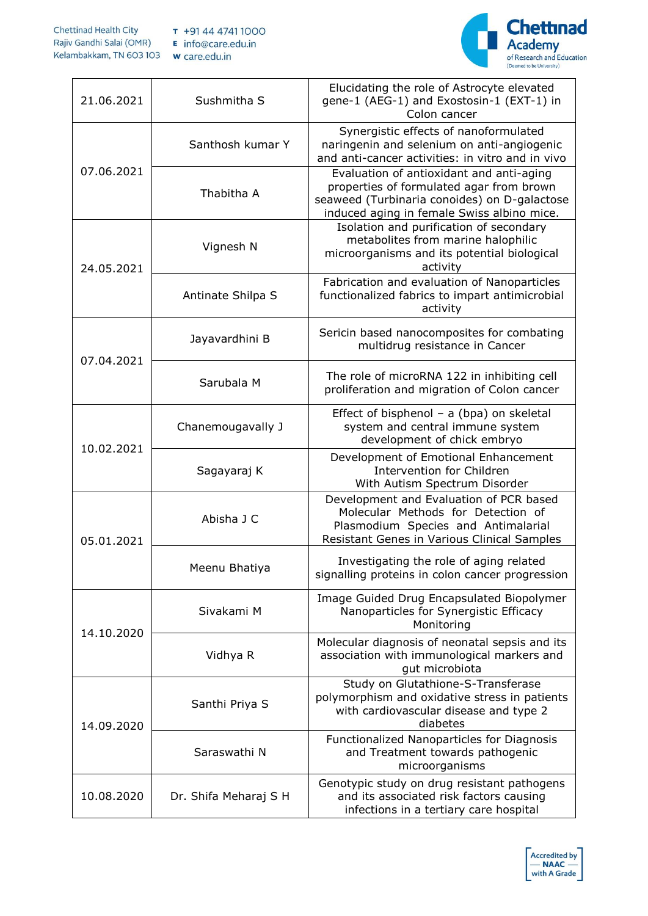

| 21.06.2021 | Sushmitha S       | Elucidating the role of Astrocyte elevated<br>gene-1 (AEG-1) and Exostosin-1 (EXT-1) in<br>Colon cancer                                                                            |
|------------|-------------------|------------------------------------------------------------------------------------------------------------------------------------------------------------------------------------|
|            | Santhosh kumar Y  | Synergistic effects of nanoformulated<br>naringenin and selenium on anti-angiogenic<br>and anti-cancer activities: in vitro and in vivo                                            |
| 07.06.2021 | Thabitha A        | Evaluation of antioxidant and anti-aging<br>properties of formulated agar from brown<br>seaweed (Turbinaria conoides) on D-galactose<br>induced aging in female Swiss albino mice. |
| 24.05.2021 | Vignesh N         | Isolation and purification of secondary<br>metabolites from marine halophilic<br>microorganisms and its potential biological<br>activity                                           |
|            | Antinate Shilpa S | Fabrication and evaluation of Nanoparticles<br>functionalized fabrics to impart antimicrobial<br>activity                                                                          |
| 07.04.2021 | Jayavardhini B    | Sericin based nanocomposites for combating<br>multidrug resistance in Cancer                                                                                                       |
|            | Sarubala M        | The role of microRNA 122 in inhibiting cell<br>proliferation and migration of Colon cancer                                                                                         |
|            | Chanemougavally J | Effect of bisphenol - a (bpa) on skeletal<br>system and central immune system<br>development of chick embryo                                                                       |
| 10.02.2021 | Sagayaraj K       | Development of Emotional Enhancement<br>Intervention for Children<br>With Autism Spectrum Disorder                                                                                 |
| 05.01.2021 | Abisha J C        | Development and Evaluation of PCR based<br>Molecular Methods for Detection of<br>Plasmodium Species and Antimalarial<br>Resistant Genes in Various Clinical Samples                |
|            | Meenu Bhatiya     | Investigating the role of aging related<br>signalling proteins in colon cancer progression                                                                                         |
| 14.10.2020 | Sivakami M        | Image Guided Drug Encapsulated Biopolymer<br>Nanoparticles for Synergistic Efficacy<br>Monitoring                                                                                  |
|            | Vidhya R          | Molecular diagnosis of neonatal sepsis and its<br>association with immunological markers and<br>gut microbiota                                                                     |
| 14.09.2020 | Santhi Priya S    | Study on Glutathione-S-Transferase<br>polymorphism and oxidative stress in patients<br>with cardiovascular disease and type 2<br>diabetes                                          |
|            | Saraswathi N      | Functionalized Nanoparticles for Diagnosis<br>and Treatment towards pathogenic<br>microorganisms                                                                                   |
|            |                   |                                                                                                                                                                                    |

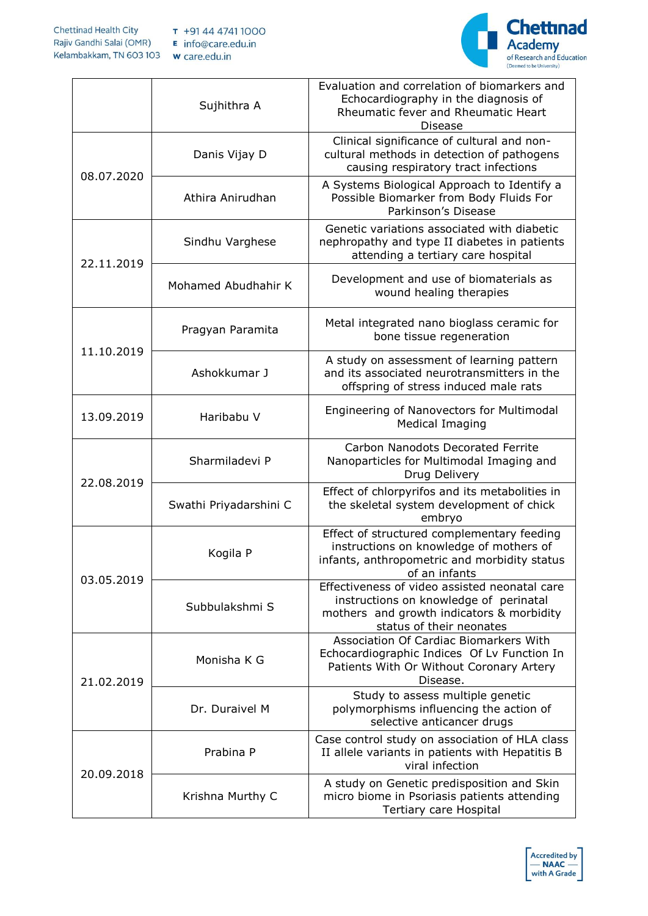

|            | Sujhithra A            | Evaluation and correlation of biomarkers and<br>Echocardiography in the diagnosis of<br>Rheumatic fever and Rheumatic Heart<br><b>Disease</b>                    |
|------------|------------------------|------------------------------------------------------------------------------------------------------------------------------------------------------------------|
| 08.07.2020 | Danis Vijay D          | Clinical significance of cultural and non-<br>cultural methods in detection of pathogens<br>causing respiratory tract infections                                 |
|            | Athira Anirudhan       | A Systems Biological Approach to Identify a<br>Possible Biomarker from Body Fluids For<br>Parkinson's Disease                                                    |
| 22.11.2019 | Sindhu Varghese        | Genetic variations associated with diabetic<br>nephropathy and type II diabetes in patients<br>attending a tertiary care hospital                                |
|            | Mohamed Abudhahir K    | Development and use of biomaterials as<br>wound healing therapies                                                                                                |
|            | Pragyan Paramita       | Metal integrated nano bioglass ceramic for<br>bone tissue regeneration                                                                                           |
| 11.10.2019 | Ashokkumar J           | A study on assessment of learning pattern<br>and its associated neurotransmitters in the<br>offspring of stress induced male rats                                |
| 13.09.2019 | Haribabu V             | Engineering of Nanovectors for Multimodal<br>Medical Imaging                                                                                                     |
| 22.08.2019 | Sharmiladevi P         | Carbon Nanodots Decorated Ferrite<br>Nanoparticles for Multimodal Imaging and<br>Drug Delivery                                                                   |
|            | Swathi Priyadarshini C | Effect of chlorpyrifos and its metabolities in<br>the skeletal system development of chick<br>embryo                                                             |
| 03.05.2019 | Kogila P               | Effect of structured complementary feeding<br>instructions on knowledge of mothers of<br>infants, anthropometric and morbidity status<br>of an infants           |
|            | Subbulakshmi S         | Effectiveness of video assisted neonatal care<br>instructions on knowledge of perinatal<br>mothers and growth indicators & morbidity<br>status of their neonates |
| 21.02.2019 | Monisha K G            | Association Of Cardiac Biomarkers With<br>Echocardiographic Indices Of Lv Function In<br>Patients With Or Without Coronary Artery<br>Disease.                    |
|            | Dr. Duraivel M         | Study to assess multiple genetic<br>polymorphisms influencing the action of<br>selective anticancer drugs                                                        |
| 20.09.2018 | Prabina P              | Case control study on association of HLA class<br>II allele variants in patients with Hepatitis B<br>viral infection                                             |
|            | Krishna Murthy C       | A study on Genetic predisposition and Skin<br>micro biome in Psoriasis patients attending<br>Tertiary care Hospital                                              |

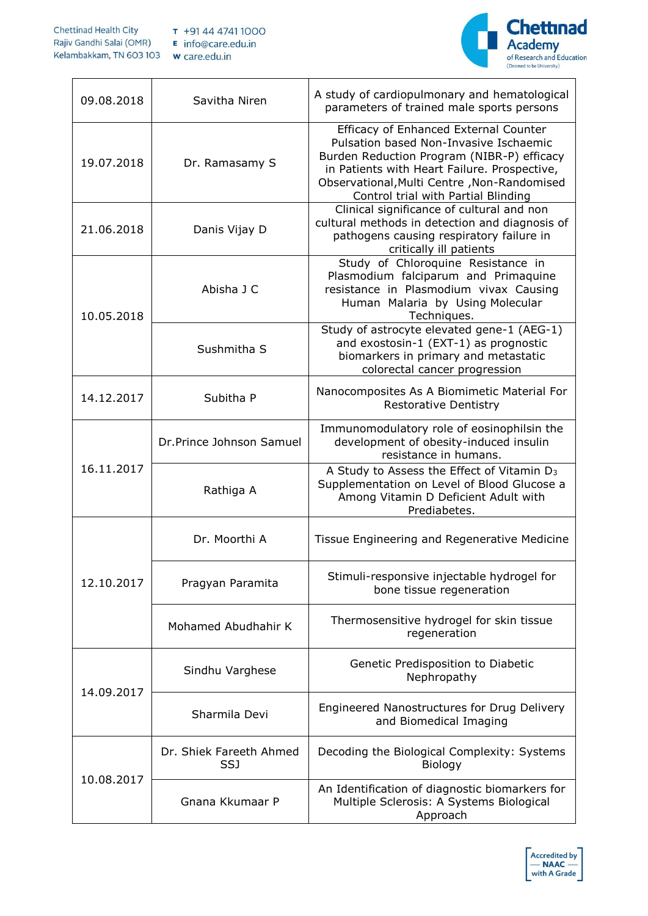

| 09.08.2018 | Savitha Niren                  | A study of cardiopulmonary and hematological<br>parameters of trained male sports persons                                                                                                                                                                           |
|------------|--------------------------------|---------------------------------------------------------------------------------------------------------------------------------------------------------------------------------------------------------------------------------------------------------------------|
| 19.07.2018 | Dr. Ramasamy S                 | Efficacy of Enhanced External Counter<br>Pulsation based Non-Invasive Ischaemic<br>Burden Reduction Program (NIBR-P) efficacy<br>in Patients with Heart Failure. Prospective,<br>Observational, Multi Centre, Non-Randomised<br>Control trial with Partial Blinding |
| 21.06.2018 | Danis Vijay D                  | Clinical significance of cultural and non<br>cultural methods in detection and diagnosis of<br>pathogens causing respiratory failure in<br>critically ill patients                                                                                                  |
| 10.05.2018 | Abisha J C                     | Study of Chloroquine Resistance in<br>Plasmodium falciparum and Primaquine<br>resistance in Plasmodium vivax Causing<br>Human Malaria by Using Molecular<br>Techniques.                                                                                             |
|            | Sushmitha S                    | Study of astrocyte elevated gene-1 (AEG-1)<br>and exostosin-1 (EXT-1) as prognostic<br>biomarkers in primary and metastatic<br>colorectal cancer progression                                                                                                        |
| 14.12.2017 | Subitha P                      | Nanocomposites As A Biomimetic Material For<br><b>Restorative Dentistry</b>                                                                                                                                                                                         |
|            | Dr.Prince Johnson Samuel       | Immunomodulatory role of eosinophilsin the<br>development of obesity-induced insulin<br>resistance in humans.                                                                                                                                                       |
| 16.11.2017 | Rathiga A                      | A Study to Assess the Effect of Vitamin D <sub>3</sub><br>Supplementation on Level of Blood Glucose a<br>Among Vitamin D Deficient Adult with<br>Prediabetes.                                                                                                       |
| 12.10.2017 | Dr. Moorthi A                  | Tissue Engineering and Regenerative Medicine                                                                                                                                                                                                                        |
|            | Pragyan Paramita               | Stimuli-responsive injectable hydrogel for<br>bone tissue regeneration                                                                                                                                                                                              |
|            | Mohamed Abudhahir K            | Thermosensitive hydrogel for skin tissue<br>regeneration                                                                                                                                                                                                            |
| 14.09.2017 | Sindhu Varghese                | Genetic Predisposition to Diabetic<br>Nephropathy                                                                                                                                                                                                                   |
|            | Sharmila Devi                  | Engineered Nanostructures for Drug Delivery<br>and Biomedical Imaging                                                                                                                                                                                               |
|            | Dr. Shiek Fareeth Ahmed<br>SSJ | Decoding the Biological Complexity: Systems<br>Biology                                                                                                                                                                                                              |
| 10.08.2017 | Gnana Kkumaar P                | An Identification of diagnostic biomarkers for<br>Multiple Sclerosis: A Systems Biological<br>Approach                                                                                                                                                              |

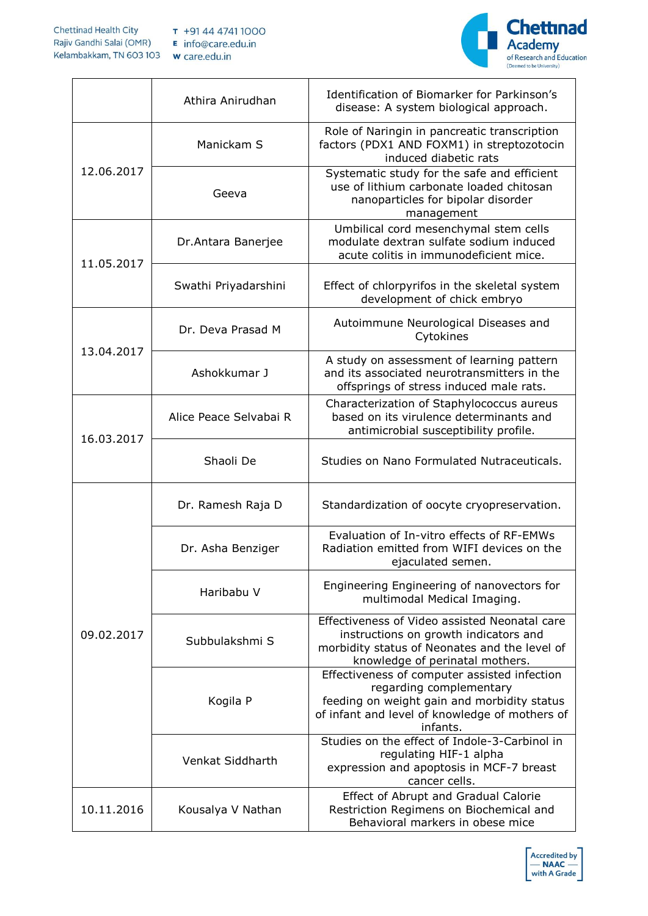

|            | Athira Anirudhan       | Identification of Biomarker for Parkinson's<br>disease: A system biological approach.                                                                                                |
|------------|------------------------|--------------------------------------------------------------------------------------------------------------------------------------------------------------------------------------|
|            | Manickam S             | Role of Naringin in pancreatic transcription<br>factors (PDX1 AND FOXM1) in streptozotocin<br>induced diabetic rats                                                                  |
| 12.06.2017 | Geeva                  | Systematic study for the safe and efficient<br>use of lithium carbonate loaded chitosan<br>nanoparticles for bipolar disorder<br>management                                          |
| 11.05.2017 | Dr.Antara Banerjee     | Umbilical cord mesenchymal stem cells<br>modulate dextran sulfate sodium induced<br>acute colitis in immunodeficient mice.                                                           |
|            | Swathi Priyadarshini   | Effect of chlorpyrifos in the skeletal system<br>development of chick embryo                                                                                                         |
|            | Dr. Deva Prasad M      | Autoimmune Neurological Diseases and<br>Cytokines                                                                                                                                    |
| 13.04.2017 | Ashokkumar J           | A study on assessment of learning pattern<br>and its associated neurotransmitters in the<br>offsprings of stress induced male rats.                                                  |
| 16.03.2017 | Alice Peace Selvabai R | Characterization of Staphylococcus aureus<br>based on its virulence determinants and<br>antimicrobial susceptibility profile.                                                        |
|            | Shaoli De              | Studies on Nano Formulated Nutraceuticals.                                                                                                                                           |
| 09.02.2017 | Dr. Ramesh Raja D      | Standardization of oocyte cryopreservation.                                                                                                                                          |
|            | Dr. Asha Benziger      | Evaluation of In-vitro effects of RF-EMWs<br>Radiation emitted from WIFI devices on the<br>ejaculated semen.                                                                         |
|            | Haribabu V             | Engineering Engineering of nanovectors for<br>multimodal Medical Imaging.                                                                                                            |
|            | Subbulakshmi S         | Effectiveness of Video assisted Neonatal care<br>instructions on growth indicators and<br>morbidity status of Neonates and the level of<br>knowledge of perinatal mothers.           |
|            | Kogila P               | Effectiveness of computer assisted infection<br>regarding complementary<br>feeding on weight gain and morbidity status<br>of infant and level of knowledge of mothers of<br>infants. |
|            | Venkat Siddharth       | Studies on the effect of Indole-3-Carbinol in<br>regulating HIF-1 alpha<br>expression and apoptosis in MCF-7 breast<br>cancer cells.                                                 |
| 10.11.2016 | Kousalya V Nathan      | Effect of Abrupt and Gradual Calorie<br>Restriction Regimens on Biochemical and<br>Behavioral markers in obese mice                                                                  |

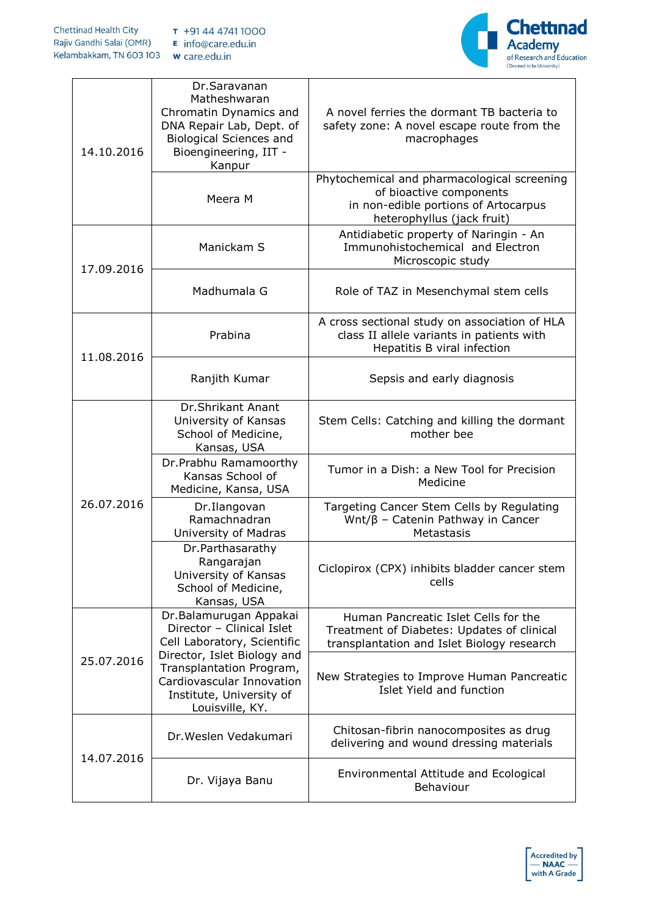

| 14.10.2016 | Dr.Saravanan<br>Matheshwaran<br>Chromatin Dynamics and<br>DNA Repair Lab, Dept. of<br><b>Biological Sciences and</b><br>Bioengineering, IIT -<br>Kanpur | A novel ferries the dormant TB bacteria to<br>safety zone: A novel escape route from the<br>macrophages                                      |
|------------|---------------------------------------------------------------------------------------------------------------------------------------------------------|----------------------------------------------------------------------------------------------------------------------------------------------|
|            | Meera M                                                                                                                                                 | Phytochemical and pharmacological screening<br>of bioactive components<br>in non-edible portions of Artocarpus<br>heterophyllus (jack fruit) |
| 17.09.2016 | Manickam S                                                                                                                                              | Antidiabetic property of Naringin - An<br>Immunohistochemical and Electron<br>Microscopic study                                              |
|            | Madhumala G                                                                                                                                             | Role of TAZ in Mesenchymal stem cells                                                                                                        |
| 11.08.2016 | Prabina                                                                                                                                                 | A cross sectional study on association of HLA<br>class II allele variants in patients with<br>Hepatitis B viral infection                    |
|            | Ranjith Kumar                                                                                                                                           | Sepsis and early diagnosis                                                                                                                   |
| 26.07.2016 | <b>Dr.Shrikant Anant</b><br>University of Kansas<br>School of Medicine,<br>Kansas, USA                                                                  | Stem Cells: Catching and killing the dormant<br>mother bee                                                                                   |
|            | Dr.Prabhu Ramamoorthy<br>Kansas School of<br>Medicine, Kansa, USA                                                                                       | Tumor in a Dish: a New Tool for Precision<br>Medicine                                                                                        |
|            | Dr.Ilangovan<br>Ramachnadran<br>University of Madras                                                                                                    | Targeting Cancer Stem Cells by Regulating<br>Wnt/β - Catenin Pathway in Cancer<br>Metastasis                                                 |
|            | Dr.Parthasarathy<br>Rangarajan<br>University of Kansas<br>School of Medicine,<br>Kansas, USA                                                            | Ciclopirox (CPX) inhibits bladder cancer stem<br>cells                                                                                       |
| 25.07.2016 | Dr.Balamurugan Appakai<br>Director - Clinical Islet<br>Cell Laboratory, Scientific                                                                      | Human Pancreatic Islet Cells for the<br>Treatment of Diabetes: Updates of clinical<br>transplantation and Islet Biology research             |
|            | Director, Islet Biology and<br>Transplantation Program,<br>Cardiovascular Innovation<br>Institute, University of<br>Louisville, KY.                     | New Strategies to Improve Human Pancreatic<br>Islet Yield and function                                                                       |
| 14.07.2016 | Dr. Weslen Vedakumari                                                                                                                                   | Chitosan-fibrin nanocomposites as drug<br>delivering and wound dressing materials                                                            |
|            | Dr. Vijaya Banu                                                                                                                                         | Environmental Attitude and Ecological<br>Behaviour                                                                                           |

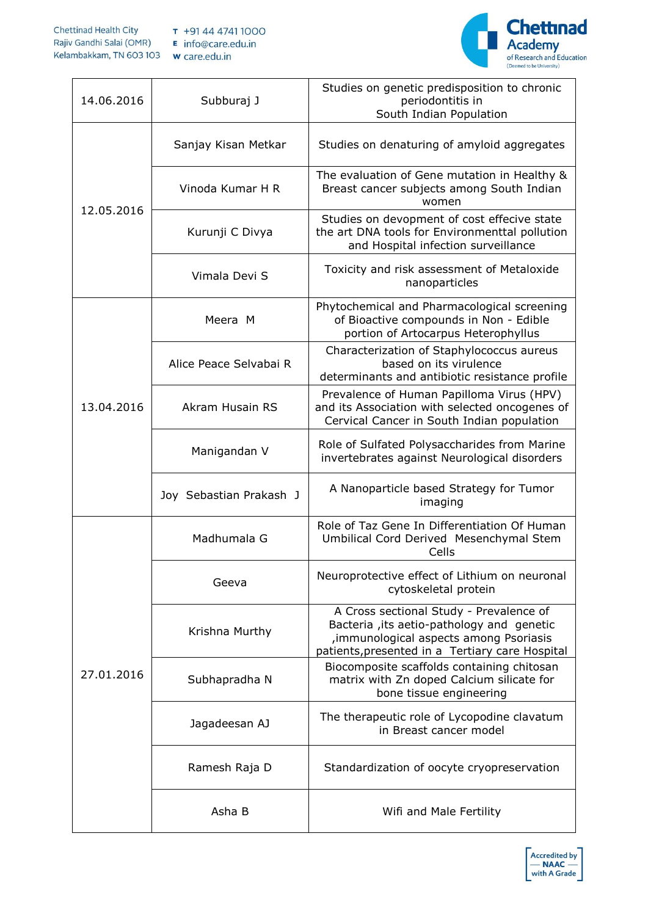

| 14.06.2016 | Subburaj J              | Studies on genetic predisposition to chronic<br>periodontitis in<br>South Indian Population                                                                                        |
|------------|-------------------------|------------------------------------------------------------------------------------------------------------------------------------------------------------------------------------|
|            | Sanjay Kisan Metkar     | Studies on denaturing of amyloid aggregates                                                                                                                                        |
| 12.05.2016 | Vinoda Kumar H R        | The evaluation of Gene mutation in Healthy &<br>Breast cancer subjects among South Indian<br>women                                                                                 |
|            | Kurunji C Divya         | Studies on devopment of cost effecive state<br>the art DNA tools for Environmenttal pollution<br>and Hospital infection surveillance                                               |
|            | Vimala Devi S           | Toxicity and risk assessment of Metaloxide<br>nanoparticles                                                                                                                        |
|            | Meera M                 | Phytochemical and Pharmacological screening<br>of Bioactive compounds in Non - Edible<br>portion of Artocarpus Heterophyllus                                                       |
|            | Alice Peace Selvabai R  | Characterization of Staphylococcus aureus<br>based on its virulence<br>determinants and antibiotic resistance profile                                                              |
| 13.04.2016 | <b>Akram Husain RS</b>  | Prevalence of Human Papilloma Virus (HPV)<br>and its Association with selected oncogenes of<br>Cervical Cancer in South Indian population                                          |
|            | Manigandan V            | Role of Sulfated Polysaccharides from Marine<br>invertebrates against Neurological disorders                                                                                       |
|            | Joy Sebastian Prakash J | A Nanoparticle based Strategy for Tumor<br>imaging                                                                                                                                 |
| 27.01.2016 | Madhumala G             | Role of Taz Gene In Differentiation Of Human<br>Umbilical Cord Derived Mesenchymal Stem<br>Cells                                                                                   |
|            | Geeva                   | Neuroprotective effect of Lithium on neuronal<br>cytoskeletal protein                                                                                                              |
|            | Krishna Murthy          | A Cross sectional Study - Prevalence of<br>Bacteria, its aetio-pathology and genetic<br>, immunological aspects among Psoriasis<br>patients, presented in a Tertiary care Hospital |
|            | Subhapradha N           | Biocomposite scaffolds containing chitosan<br>matrix with Zn doped Calcium silicate for<br>bone tissue engineering                                                                 |
|            | Jagadeesan AJ           | The therapeutic role of Lycopodine clavatum<br>in Breast cancer model                                                                                                              |
|            | Ramesh Raja D           | Standardization of oocyte cryopreservation                                                                                                                                         |
|            | Asha B                  | Wifi and Male Fertility                                                                                                                                                            |

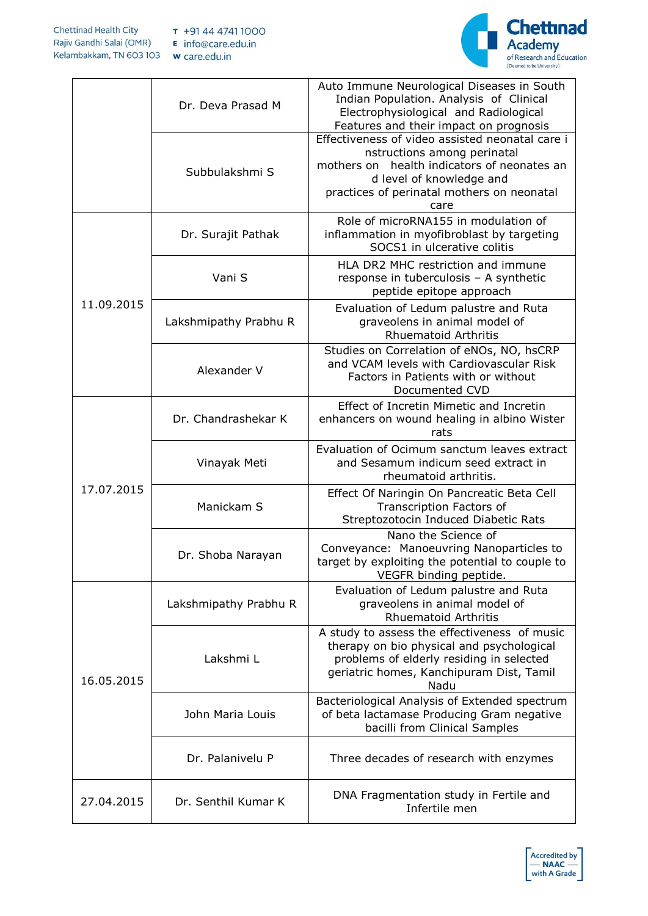

|            | Dr. Deva Prasad M     | Auto Immune Neurological Diseases in South<br>Indian Population. Analysis of Clinical<br>Electrophysiological and Radiological<br>Features and their impact on prognosis                                        |
|------------|-----------------------|-----------------------------------------------------------------------------------------------------------------------------------------------------------------------------------------------------------------|
|            | Subbulakshmi S        | Effectiveness of video assisted neonatal care i<br>nstructions among perinatal<br>mothers on health indicators of neonates an<br>d level of knowledge and<br>practices of perinatal mothers on neonatal<br>care |
|            | Dr. Surajit Pathak    | Role of microRNA155 in modulation of<br>inflammation in myofibroblast by targeting<br>SOCS1 in ulcerative colitis                                                                                               |
|            | Vani S                | HLA DR2 MHC restriction and immune<br>response in tuberculosis - A synthetic<br>peptide epitope approach                                                                                                        |
| 11.09.2015 | Lakshmipathy Prabhu R | Evaluation of Ledum palustre and Ruta<br>graveolens in animal model of<br><b>Rhuematoid Arthritis</b>                                                                                                           |
|            | Alexander V           | Studies on Correlation of eNOs, NO, hsCRP<br>and VCAM levels with Cardiovascular Risk<br>Factors in Patients with or without<br>Documented CVD                                                                  |
|            | Dr. Chandrashekar K   | Effect of Incretin Mimetic and Incretin<br>enhancers on wound healing in albino Wister<br>rats                                                                                                                  |
|            | Vinayak Meti          | Evaluation of Ocimum sanctum leaves extract<br>and Sesamum indicum seed extract in<br>rheumatoid arthritis.                                                                                                     |
| 17.07.2015 | Manickam S            | Effect Of Naringin On Pancreatic Beta Cell<br>Transcription Factors of<br>Streptozotocin Induced Diabetic Rats                                                                                                  |
|            | Dr. Shoba Narayan     | Nano the Science of<br>Conveyance: Manoeuvring Nanoparticles to<br>target by exploiting the potential to couple to<br>VEGFR binding peptide.                                                                    |
| 16.05.2015 | Lakshmipathy Prabhu R | Evaluation of Ledum palustre and Ruta<br>graveolens in animal model of<br><b>Rhuematoid Arthritis</b>                                                                                                           |
|            | Lakshmi L             | A study to assess the effectiveness of music<br>therapy on bio physical and psychological<br>problems of elderly residing in selected<br>geriatric homes, Kanchipuram Dist, Tamil<br>Nadu                       |
|            | John Maria Louis      | Bacteriological Analysis of Extended spectrum<br>of beta lactamase Producing Gram negative<br>bacilli from Clinical Samples                                                                                     |
|            | Dr. Palanivelu P      | Three decades of research with enzymes                                                                                                                                                                          |
| 27.04.2015 | Dr. Senthil Kumar K   | DNA Fragmentation study in Fertile and<br>Infertile men                                                                                                                                                         |

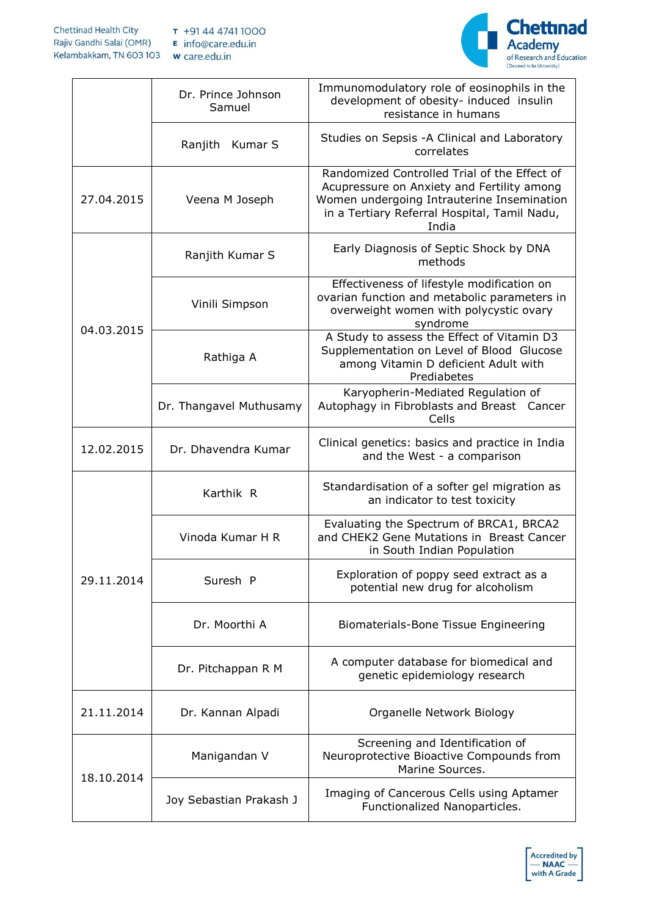

|            | Dr. Prince Johnson<br>Samuel | Immunomodulatory role of eosinophils in the<br>development of obesity- induced insulin<br>resistance in humans                                                                                    |
|------------|------------------------------|---------------------------------------------------------------------------------------------------------------------------------------------------------------------------------------------------|
|            | Kumar S<br>Ranjith           | Studies on Sepsis - A Clinical and Laboratory<br>correlates                                                                                                                                       |
| 27.04.2015 | Veena M Joseph               | Randomized Controlled Trial of the Effect of<br>Acupressure on Anxiety and Fertility among<br>Women undergoing Intrauterine Insemination<br>in a Tertiary Referral Hospital, Tamil Nadu,<br>India |
| 04.03.2015 | Ranjith Kumar S              | Early Diagnosis of Septic Shock by DNA<br>methods                                                                                                                                                 |
|            | Vinili Simpson               | Effectiveness of lifestyle modification on<br>ovarian function and metabolic parameters in<br>overweight women with polycystic ovary<br>syndrome                                                  |
|            | Rathiga A                    | A Study to assess the Effect of Vitamin D3<br>Supplementation on Level of Blood Glucose<br>among Vitamin D deficient Adult with<br>Prediabetes                                                    |
|            | Dr. Thangavel Muthusamy      | Karyopherin-Mediated Regulation of<br>Autophagy in Fibroblasts and Breast Cancer<br>Cells                                                                                                         |
| 12.02.2015 | Dr. Dhavendra Kumar          | Clinical genetics: basics and practice in India<br>and the West - a comparison                                                                                                                    |
| 29.11.2014 | Karthik R                    | Standardisation of a softer gel migration as<br>an indicator to test toxicity                                                                                                                     |
|            | Vinoda Kumar H R             | Evaluating the Spectrum of BRCA1, BRCA2<br>and CHEK2 Gene Mutations in Breast Cancer<br>in South Indian Population                                                                                |
|            | Suresh P                     | Exploration of poppy seed extract as a<br>potential new drug for alcoholism                                                                                                                       |
|            | Dr. Moorthi A                | Biomaterials-Bone Tissue Engineering                                                                                                                                                              |
|            | Dr. Pitchappan R M           | A computer database for biomedical and<br>genetic epidemiology research                                                                                                                           |
| 21.11.2014 | Dr. Kannan Alpadi            | Organelle Network Biology                                                                                                                                                                         |
| 18.10.2014 | Manigandan V                 | Screening and Identification of<br>Neuroprotective Bioactive Compounds from<br>Marine Sources.                                                                                                    |
|            | Joy Sebastian Prakash J      | Imaging of Cancerous Cells using Aptamer<br>Functionalized Nanoparticles.                                                                                                                         |

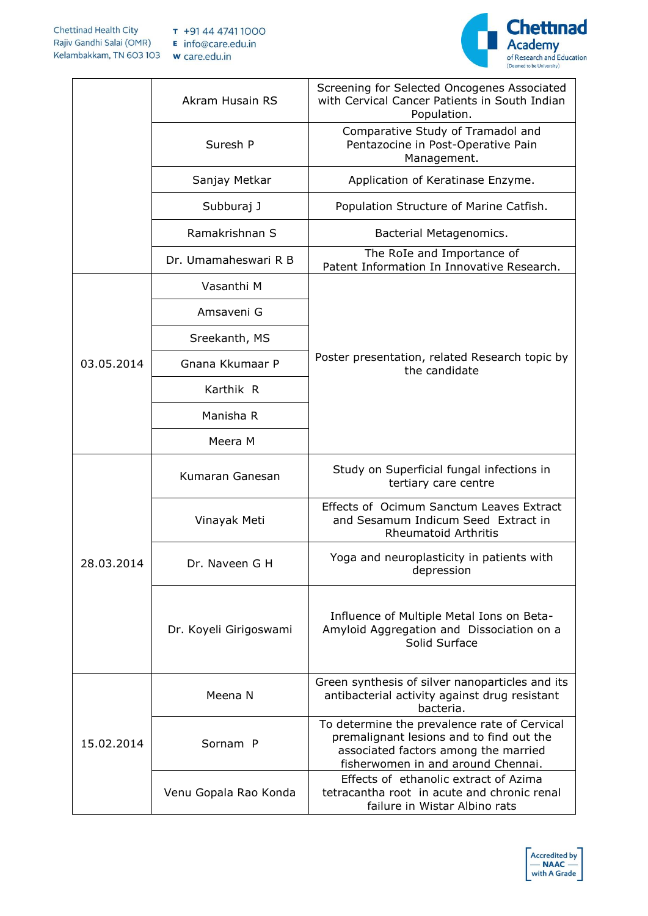

|            | Akram Husain RS        | Screening for Selected Oncogenes Associated<br>with Cervical Cancer Patients in South Indian<br>Population.                                                            |
|------------|------------------------|------------------------------------------------------------------------------------------------------------------------------------------------------------------------|
|            | Suresh P               | Comparative Study of Tramadol and<br>Pentazocine in Post-Operative Pain<br>Management.                                                                                 |
|            | Sanjay Metkar          | Application of Keratinase Enzyme.                                                                                                                                      |
|            | Subburaj J             | Population Structure of Marine Catfish.                                                                                                                                |
|            | Ramakrishnan S         | Bacterial Metagenomics.                                                                                                                                                |
|            | Dr. Umamaheswari R B   | The RoIe and Importance of<br>Patent Information In Innovative Research.                                                                                               |
|            | Vasanthi M             |                                                                                                                                                                        |
|            | Amsaveni G             |                                                                                                                                                                        |
|            | Sreekanth, MS          |                                                                                                                                                                        |
| 03.05.2014 | Gnana Kkumaar P        | Poster presentation, related Research topic by<br>the candidate                                                                                                        |
|            | Karthik R              |                                                                                                                                                                        |
|            | Manisha R              |                                                                                                                                                                        |
|            | Meera M                |                                                                                                                                                                        |
|            | Kumaran Ganesan        | Study on Superficial fungal infections in<br>tertiary care centre                                                                                                      |
| 28.03.2014 | Vinayak Meti           | Effects of Ocimum Sanctum Leaves Extract<br>and Sesamum Indicum Seed Extract in<br><b>Rheumatoid Arthritis</b>                                                         |
|            | Dr. Naveen G H         | Yoga and neuroplasticity in patients with<br>depression                                                                                                                |
|            | Dr. Koyeli Girigoswami | Influence of Multiple Metal Ions on Beta-<br>Amyloid Aggregation and Dissociation on a<br>Solid Surface                                                                |
| 15.02.2014 | Meena N                | Green synthesis of silver nanoparticles and its<br>antibacterial activity against drug resistant<br>bacteria.                                                          |
|            | Sornam P               | To determine the prevalence rate of Cervical<br>premalignant lesions and to find out the<br>associated factors among the married<br>fisherwomen in and around Chennai. |
|            | Venu Gopala Rao Konda  | Effects of ethanolic extract of Azima<br>tetracantha root in acute and chronic renal<br>failure in Wistar Albino rats                                                  |

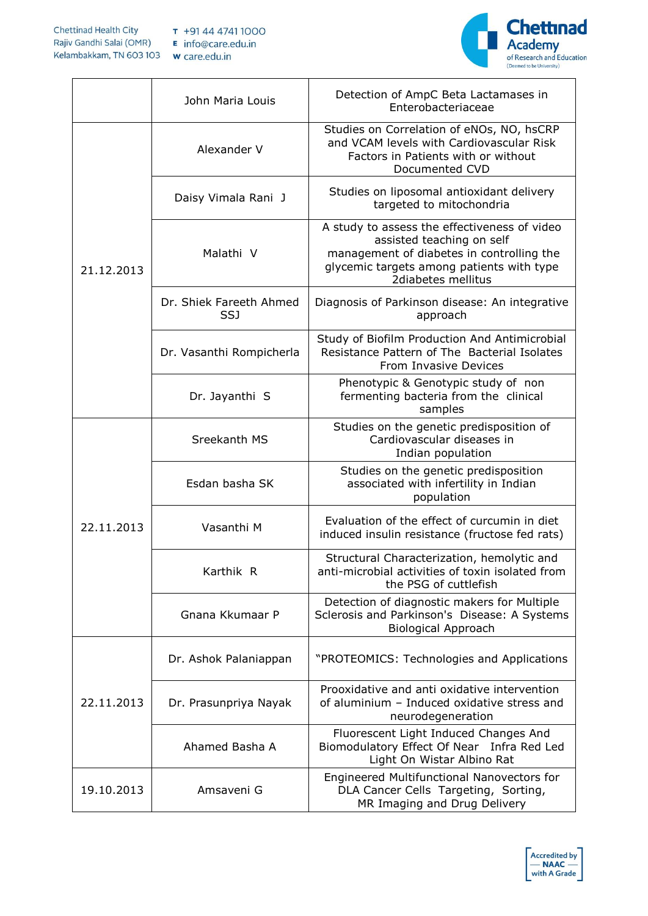

|            | John Maria Louis               | Detection of AmpC Beta Lactamases in<br>Enterobacteriaceae                                                                                                                                |
|------------|--------------------------------|-------------------------------------------------------------------------------------------------------------------------------------------------------------------------------------------|
| 21.12.2013 | Alexander V                    | Studies on Correlation of eNOs, NO, hsCRP<br>and VCAM levels with Cardiovascular Risk<br>Factors in Patients with or without<br>Documented CVD                                            |
|            | Daisy Vimala Rani J            | Studies on liposomal antioxidant delivery<br>targeted to mitochondria                                                                                                                     |
|            | Malathi V                      | A study to assess the effectiveness of video<br>assisted teaching on self<br>management of diabetes in controlling the<br>glycemic targets among patients with type<br>2diabetes mellitus |
|            | Dr. Shiek Fareeth Ahmed<br>SSJ | Diagnosis of Parkinson disease: An integrative<br>approach                                                                                                                                |
|            | Dr. Vasanthi Rompicherla       | Study of Biofilm Production And Antimicrobial<br>Resistance Pattern of The Bacterial Isolates<br>From Invasive Devices                                                                    |
|            | Dr. Jayanthi S                 | Phenotypic & Genotypic study of non<br>fermenting bacteria from the clinical<br>samples                                                                                                   |
| 22.11.2013 | Sreekanth MS                   | Studies on the genetic predisposition of<br>Cardiovascular diseases in<br>Indian population                                                                                               |
|            | Esdan basha SK                 | Studies on the genetic predisposition<br>associated with infertility in Indian<br>population                                                                                              |
|            | Vasanthi M                     | Evaluation of the effect of curcumin in diet<br>induced insulin resistance (fructose fed rats)                                                                                            |
|            | Karthik R                      | Structural Characterization, hemolytic and<br>anti-microbial activities of toxin isolated from<br>the PSG of cuttlefish                                                                   |
|            | Gnana Kkumaar P                | Detection of diagnostic makers for Multiple<br>Sclerosis and Parkinson's Disease: A Systems<br><b>Biological Approach</b>                                                                 |
| 22.11.2013 | Dr. Ashok Palaniappan          | "PROTEOMICS: Technologies and Applications                                                                                                                                                |
|            | Dr. Prasunpriya Nayak          | Prooxidative and anti oxidative intervention<br>of aluminium - Induced oxidative stress and<br>neurodegeneration                                                                          |
|            | Ahamed Basha A                 | Fluorescent Light Induced Changes And<br>Biomodulatory Effect Of Near Infra Red Led<br>Light On Wistar Albino Rat                                                                         |
| 19.10.2013 | Amsaveni G                     | Engineered Multifunctional Nanovectors for<br>DLA Cancer Cells Targeting, Sorting,<br>MR Imaging and Drug Delivery                                                                        |

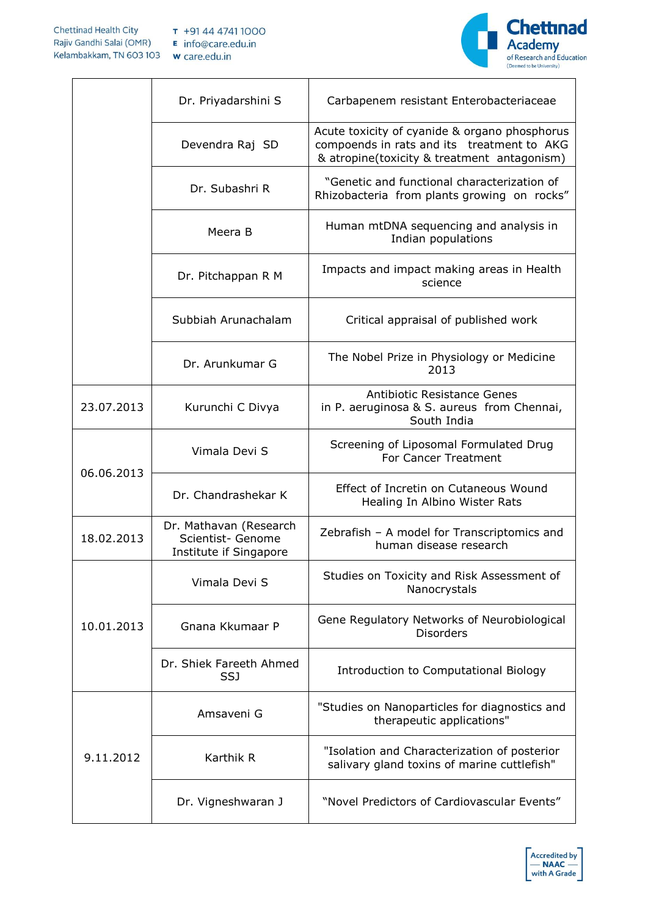

|            | Dr. Priyadarshini S                                                   | Carbapenem resistant Enterobacteriaceae                                                                                                    |
|------------|-----------------------------------------------------------------------|--------------------------------------------------------------------------------------------------------------------------------------------|
|            | Devendra Raj SD                                                       | Acute toxicity of cyanide & organo phosphorus<br>compoends in rats and its treatment to AKG<br>& atropine(toxicity & treatment antagonism) |
|            | Dr. Subashri R                                                        | "Genetic and functional characterization of<br>Rhizobacteria from plants growing on rocks"                                                 |
|            | Meera B                                                               | Human mtDNA sequencing and analysis in<br>Indian populations                                                                               |
|            | Dr. Pitchappan R M                                                    | Impacts and impact making areas in Health<br>science                                                                                       |
|            | Subbiah Arunachalam                                                   | Critical appraisal of published work                                                                                                       |
|            | Dr. Arunkumar G                                                       | The Nobel Prize in Physiology or Medicine<br>2013                                                                                          |
| 23.07.2013 | Kurunchi C Divya                                                      | Antibiotic Resistance Genes<br>in P. aeruginosa & S. aureus from Chennai,<br>South India                                                   |
| 06.06.2013 | Vimala Devi S                                                         | Screening of Liposomal Formulated Drug<br>For Cancer Treatment                                                                             |
|            | Dr. Chandrashekar K                                                   | Effect of Incretin on Cutaneous Wound<br>Healing In Albino Wister Rats                                                                     |
| 18.02.2013 | Dr. Mathavan (Research<br>Scientist- Genome<br>Institute if Singapore | Zebrafish - A model for Transcriptomics and<br>human disease research                                                                      |
|            | Vimala Devi S                                                         | Studies on Toxicity and Risk Assessment of<br>Nanocrystals                                                                                 |
| 10.01.2013 | Gnana Kkumaar P                                                       | Gene Regulatory Networks of Neurobiological<br><b>Disorders</b>                                                                            |
|            | Dr. Shiek Fareeth Ahmed<br>SSJ                                        | Introduction to Computational Biology                                                                                                      |
| 9.11.2012  | Amsaveni G                                                            | "Studies on Nanoparticles for diagnostics and<br>therapeutic applications"                                                                 |
|            | Karthik R                                                             | "Isolation and Characterization of posterior<br>salivary gland toxins of marine cuttlefish"                                                |
|            | Dr. Vigneshwaran J                                                    | "Novel Predictors of Cardiovascular Events"                                                                                                |

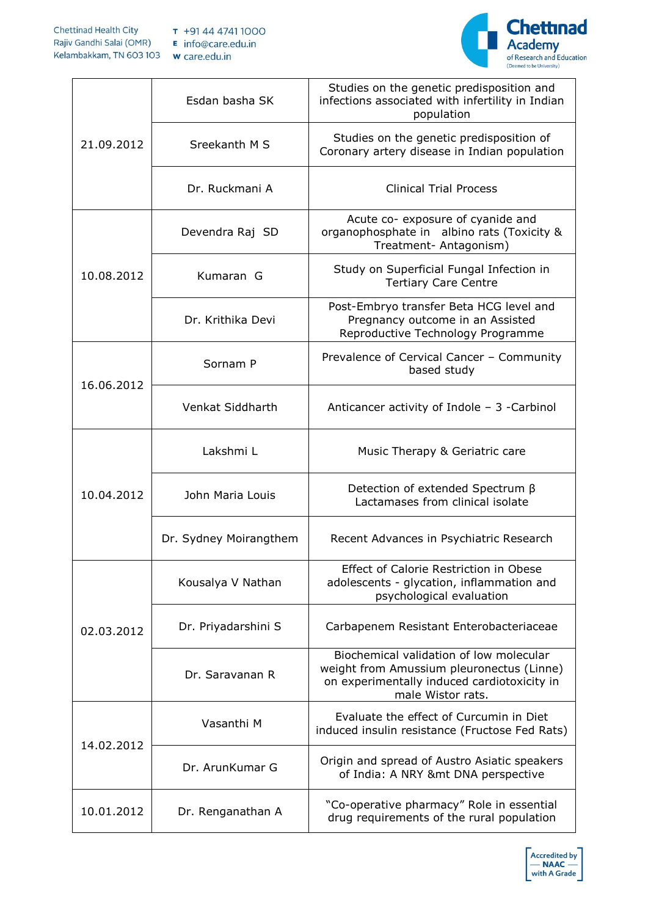

| 21.09.2012 | Esdan basha SK         | Studies on the genetic predisposition and<br>infections associated with infertility in Indian<br>population                                              |
|------------|------------------------|----------------------------------------------------------------------------------------------------------------------------------------------------------|
|            | Sreekanth M S          | Studies on the genetic predisposition of<br>Coronary artery disease in Indian population                                                                 |
|            | Dr. Ruckmani A         | <b>Clinical Trial Process</b>                                                                                                                            |
| 10.08.2012 | Devendra Raj SD        | Acute co- exposure of cyanide and<br>organophosphate in albino rats (Toxicity &<br>Treatment- Antagonism)                                                |
|            | Kumaran G              | Study on Superficial Fungal Infection in<br><b>Tertiary Care Centre</b>                                                                                  |
|            | Dr. Krithika Devi      | Post-Embryo transfer Beta HCG level and<br>Pregnancy outcome in an Assisted<br>Reproductive Technology Programme                                         |
| 16.06.2012 | Sornam P               | Prevalence of Cervical Cancer - Community<br>based study                                                                                                 |
|            | Venkat Siddharth       | Anticancer activity of Indole $-$ 3 -Carbinol                                                                                                            |
| 10.04.2012 | Lakshmi L              | Music Therapy & Geriatric care                                                                                                                           |
|            | John Maria Louis       | Detection of extended Spectrum $\beta$<br>Lactamases from clinical isolate                                                                               |
|            | Dr. Sydney Moirangthem | Recent Advances in Psychiatric Research                                                                                                                  |
| 02.03.2012 | Kousalya V Nathan      | Effect of Calorie Restriction in Obese<br>adolescents - glycation, inflammation and<br>psychological evaluation                                          |
|            | Dr. Priyadarshini S    | Carbapenem Resistant Enterobacteriaceae                                                                                                                  |
|            | Dr. Saravanan R        | Biochemical validation of low molecular<br>weight from Amussium pleuronectus (Linne)<br>on experimentally induced cardiotoxicity in<br>male Wistor rats. |
| 14.02.2012 | Vasanthi M             | Evaluate the effect of Curcumin in Diet<br>induced insulin resistance (Fructose Fed Rats)                                                                |
|            | Dr. ArunKumar G        | Origin and spread of Austro Asiatic speakers<br>of India: A NRY &mt DNA perspective                                                                      |
| 10.01.2012 | Dr. Renganathan A      | "Co-operative pharmacy" Role in essential<br>drug requirements of the rural population                                                                   |

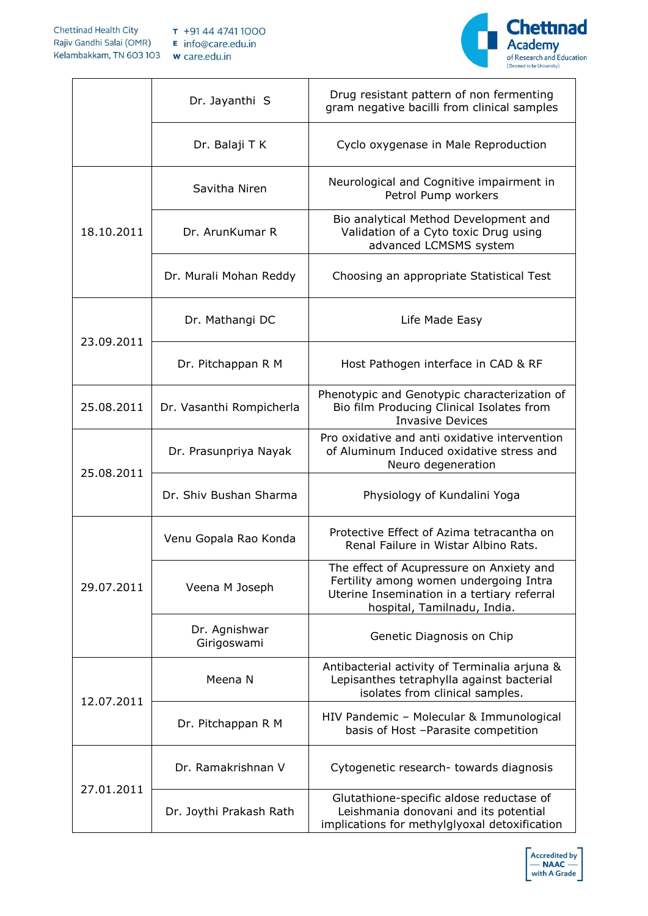

|            | Dr. Jayanthi S               | Drug resistant pattern of non fermenting<br>gram negative bacilli from clinical samples                                                                          |
|------------|------------------------------|------------------------------------------------------------------------------------------------------------------------------------------------------------------|
|            | Dr. Balaji T K               | Cyclo oxygenase in Male Reproduction                                                                                                                             |
| 18.10.2011 | Savitha Niren                | Neurological and Cognitive impairment in<br>Petrol Pump workers                                                                                                  |
|            | Dr. ArunKumar R              | Bio analytical Method Development and<br>Validation of a Cyto toxic Drug using<br>advanced LCMSMS system                                                         |
|            | Dr. Murali Mohan Reddy       | Choosing an appropriate Statistical Test                                                                                                                         |
| 23.09.2011 | Dr. Mathangi DC              | Life Made Easy                                                                                                                                                   |
|            | Dr. Pitchappan R M           | Host Pathogen interface in CAD & RF                                                                                                                              |
| 25.08.2011 | Dr. Vasanthi Rompicherla     | Phenotypic and Genotypic characterization of<br>Bio film Producing Clinical Isolates from<br><b>Invasive Devices</b>                                             |
| 25.08.2011 | Dr. Prasunpriya Nayak        | Pro oxidative and anti oxidative intervention<br>of Aluminum Induced oxidative stress and<br>Neuro degeneration                                                  |
|            | Dr. Shiv Bushan Sharma       | Physiology of Kundalini Yoga                                                                                                                                     |
| 29.07.2011 | Venu Gopala Rao Konda        | Protective Effect of Azima tetracantha on<br>Renal Failure in Wistar Albino Rats.                                                                                |
|            | Veena M Joseph               | The effect of Acupressure on Anxiety and<br>Fertility among women undergoing Intra<br>Uterine Insemination in a tertiary referral<br>hospital, Tamilnadu, India. |
|            | Dr. Agnishwar<br>Girigoswami | Genetic Diagnosis on Chip                                                                                                                                        |
| 12.07.2011 | Meena N                      | Antibacterial activity of Terminalia arjuna &<br>Lepisanthes tetraphylla against bacterial<br>isolates from clinical samples.                                    |
|            | Dr. Pitchappan R M           | HIV Pandemic - Molecular & Immunological<br>basis of Host -Parasite competition                                                                                  |
| 27.01.2011 | Dr. Ramakrishnan V           | Cytogenetic research- towards diagnosis                                                                                                                          |
|            | Dr. Joythi Prakash Rath      | Glutathione-specific aldose reductase of<br>Leishmania donovani and its potential<br>implications for methylglyoxal detoxification                               |